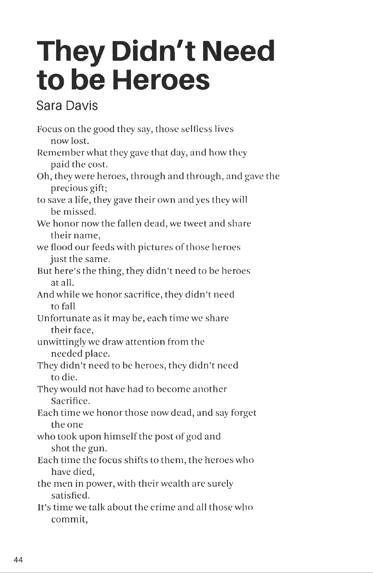## **They Didn't Need to be Heroes**

## **Sara Davis**

Focus on the good they say, those selfless lives now lost. Remember what they gave that day, and how they paid the cost. Oh, they were heroes, through and through, and gave the precious gift; to save a life, they gave their own and yes they will be missed. We honor now the fallen dead, we tweet and share their name, we flood our feeds with pictures of those heroes just the same. But here's the thing, they didn't need to be heroes at all. And while we honor sacrifice, they didn't need to fall Unfortunate as it may be, each time we share their face, unwittingly we draw attention from the needed place. They didn't need to be heroes, they didn't need to die. They would not have had to become another Sacrifice. Each time we honor those now dead, and say forget the one who took upon himself the post of god and shot the gun. Each time the focus shifts to them, the heroes who have died, the men in power, with their wealth are surely satisfied. It's time we talk about the crime and all those who commit,